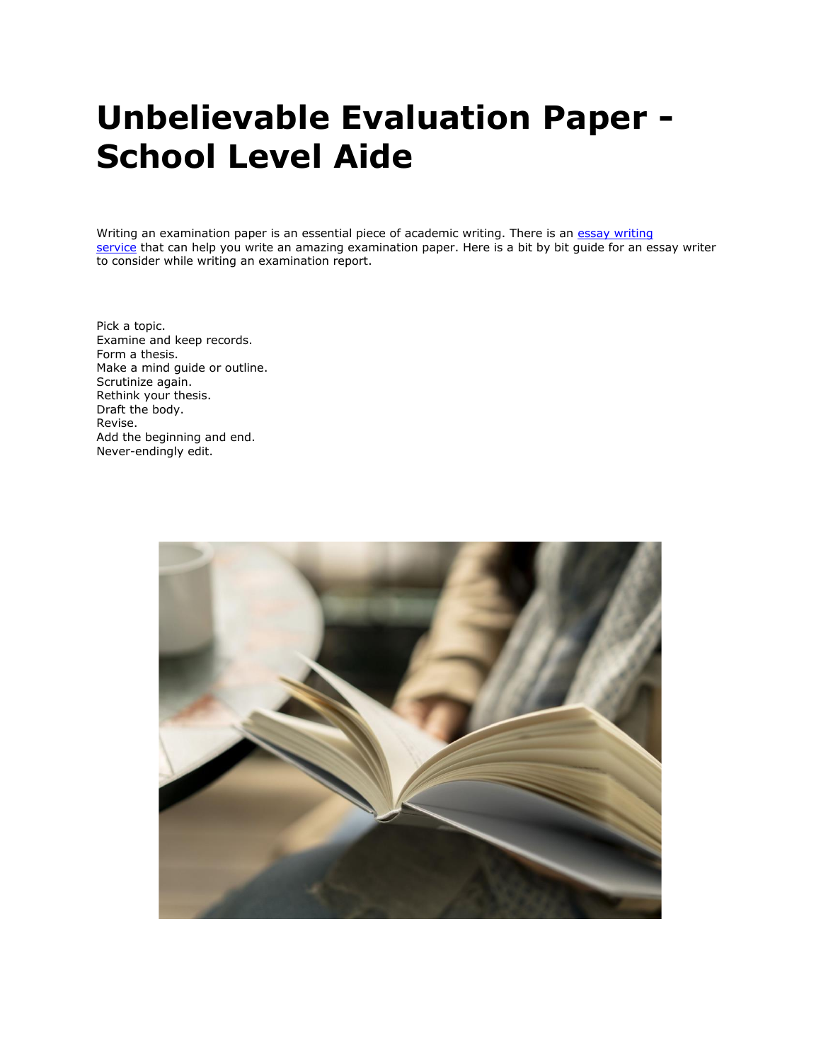# **Unbelievable Evaluation Paper - School Level Aide**

Writing an examination paper is an essential piece of academic writing. There is an essay writing [service](https://www.essaywritingservice.college/) that can help you write an amazing examination paper. Here is a bit by bit guide for an essay writer to consider while writing an examination report.

Pick a topic. Examine and keep records. Form a thesis. Make a mind guide or outline. Scrutinize again. Rethink your thesis. Draft the body. Revise. Add the beginning and end. Never-endingly edit.

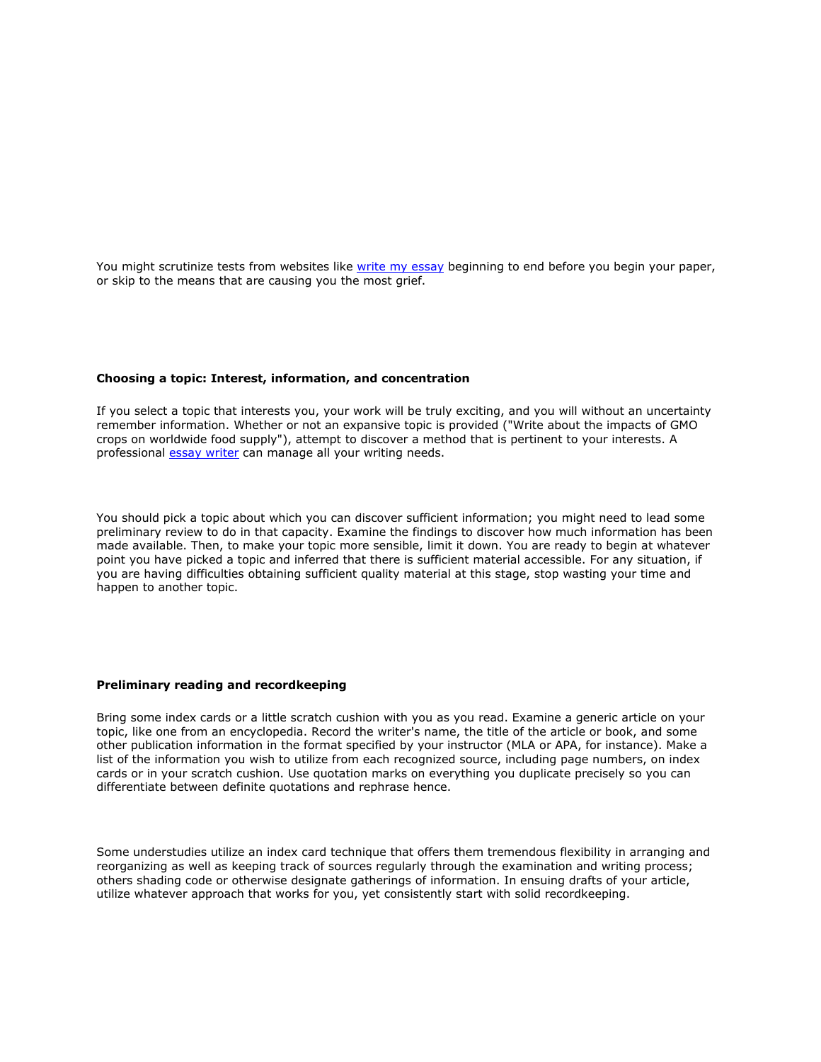You might scrutinize tests from websites like [write my essay](https://writemyessayfast.net/) beginning to end before you begin your paper, or skip to the means that are causing you the most grief.

### **Choosing a topic: Interest, information, and concentration**

If you select a topic that interests you, your work will be truly exciting, and you will without an uncertainty remember information. Whether or not an expansive topic is provided ("Write about the impacts of GMO crops on worldwide food supply"), attempt to discover a method that is pertinent to your interests. A professional [essay writer](https://essayhours.com/) can manage all your writing needs.

You should pick a topic about which you can discover sufficient information; you might need to lead some preliminary review to do in that capacity. Examine the findings to discover how much information has been made available. Then, to make your topic more sensible, limit it down. You are ready to begin at whatever point you have picked a topic and inferred that there is sufficient material accessible. For any situation, if you are having difficulties obtaining sufficient quality material at this stage, stop wasting your time and happen to another topic.

## **Preliminary reading and recordkeeping**

Bring some index cards or a little scratch cushion with you as you read. Examine a generic article on your topic, like one from an encyclopedia. Record the writer's name, the title of the article or book, and some other publication information in the format specified by your instructor (MLA or APA, for instance). Make a list of the information you wish to utilize from each recognized source, including page numbers, on index cards or in your scratch cushion. Use quotation marks on everything you duplicate precisely so you can differentiate between definite quotations and rephrase hence.

Some understudies utilize an index card technique that offers them tremendous flexibility in arranging and reorganizing as well as keeping track of sources regularly through the examination and writing process; others shading code or otherwise designate gatherings of information. In ensuing drafts of your article, utilize whatever approach that works for you, yet consistently start with solid recordkeeping.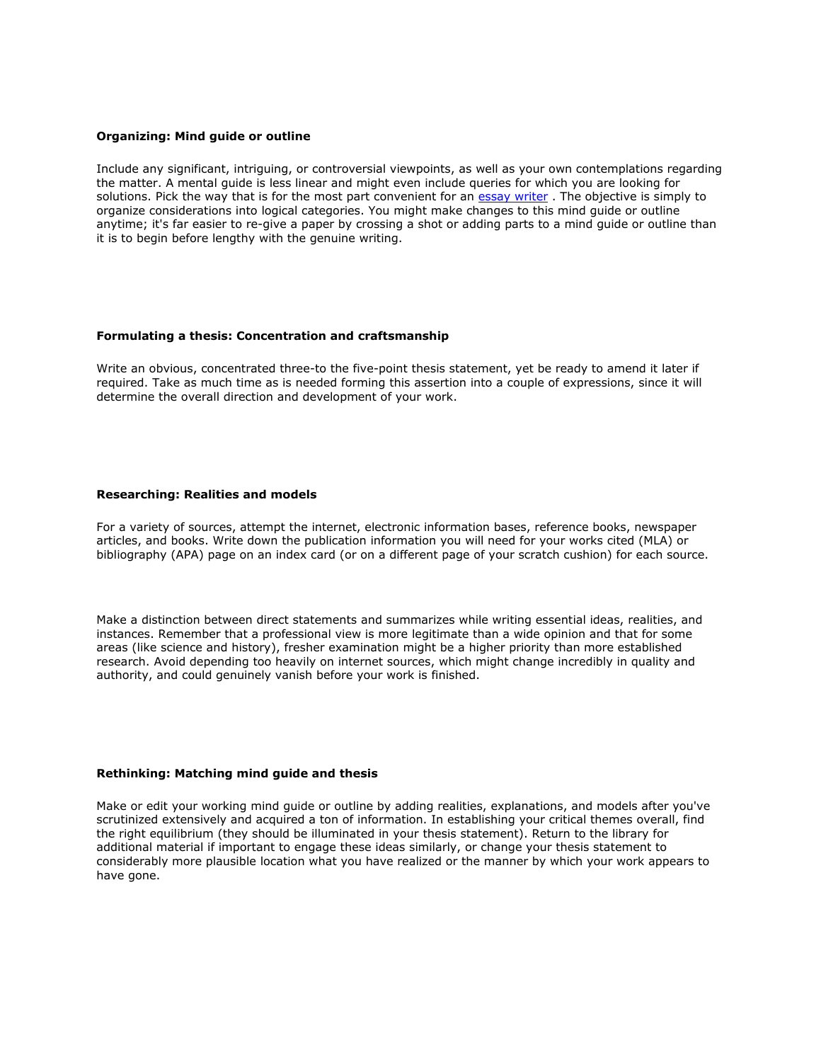## **Organizing: Mind guide or outline**

Include any significant, intriguing, or controversial viewpoints, as well as your own contemplations regarding the matter. A mental guide is less linear and might even include queries for which you are looking for solutions. Pick the way that is for the most part convenient for an [essay writer](https://www.essaywriter.college/). The objective is simply to organize considerations into logical categories. You might make changes to this mind guide or outline anytime; it's far easier to re-give a paper by crossing a shot or adding parts to a mind guide or outline than it is to begin before lengthy with the genuine writing.

### **Formulating a thesis: Concentration and craftsmanship**

Write an obvious, concentrated three-to the five-point thesis statement, yet be ready to amend it later if required. Take as much time as is needed forming this assertion into a couple of expressions, since it will determine the overall direction and development of your work.

## **Researching: Realities and models**

For a variety of sources, attempt the internet, electronic information bases, reference books, newspaper articles, and books. Write down the publication information you will need for your works cited (MLA) or bibliography (APA) page on an index card (or on a different page of your scratch cushion) for each source.

Make a distinction between direct statements and summarizes while writing essential ideas, realities, and instances. Remember that a professional view is more legitimate than a wide opinion and that for some areas (like science and history), fresher examination might be a higher priority than more established research. Avoid depending too heavily on internet sources, which might change incredibly in quality and authority, and could genuinely vanish before your work is finished.

## **Rethinking: Matching mind guide and thesis**

Make or edit your working mind guide or outline by adding realities, explanations, and models after you've scrutinized extensively and acquired a ton of information. In establishing your critical themes overall, find the right equilibrium (they should be illuminated in your thesis statement). Return to the library for additional material if important to engage these ideas similarly, or change your thesis statement to considerably more plausible location what you have realized or the manner by which your work appears to have gone.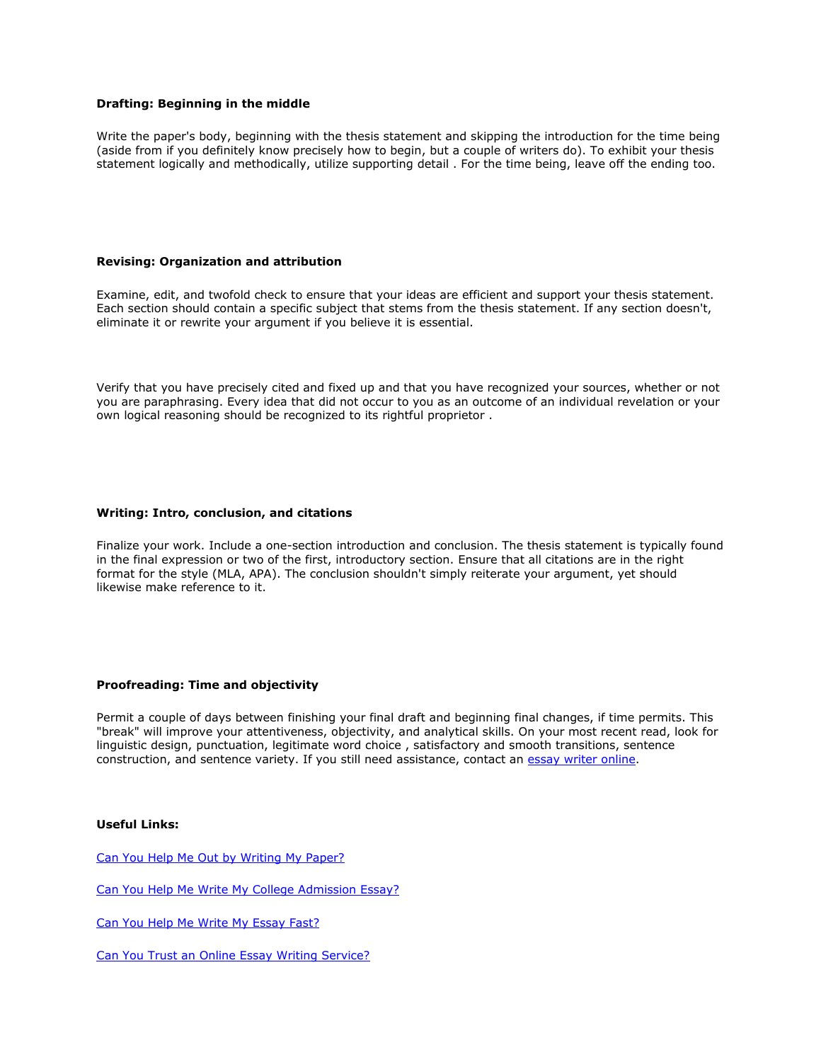## **Drafting: Beginning in the middle**

Write the paper's body, beginning with the thesis statement and skipping the introduction for the time being (aside from if you definitely know precisely how to begin, but a couple of writers do). To exhibit your thesis statement logically and methodically, utilize supporting detail . For the time being, leave off the ending too.

## **Revising: Organization and attribution**

Examine, edit, and twofold check to ensure that your ideas are efficient and support your thesis statement. Each section should contain a specific subject that stems from the thesis statement. If any section doesn't, eliminate it or rewrite your argument if you believe it is essential.

Verify that you have precisely cited and fixed up and that you have recognized your sources, whether or not you are paraphrasing. Every idea that did not occur to you as an outcome of an individual revelation or your own logical reasoning should be recognized to its rightful proprietor .

## **Writing: Intro, conclusion, and citations**

Finalize your work. Include a one-section introduction and conclusion. The thesis statement is typically found in the final expression or two of the first, introductory section. Ensure that all citations are in the right format for the style (MLA, APA). The conclusion shouldn't simply reiterate your argument, yet should likewise make reference to it.

## **Proofreading: Time and objectivity**

Permit a couple of days between finishing your final draft and beginning final changes, if time permits. This "break" will improve your attentiveness, objectivity, and analytical skills. On your most recent read, look for linguistic design, punctuation, legitimate word choice , satisfactory and smooth transitions, sentence construction, and sentence variety. If you still need assistance, contact an [essay writer online.](https://essaywriternow.com/)

## **Useful Links:**

[Can You Help Me Out by Writing My Paper?](https://writemyessayfast.net/write-my-paper/can-you-help-me-out-by-writing-my-paper)

[Can You Help Me Write My College Admission Essay?](https://essaywriternow.com/write-my-essay/can-you-help-me-write-my-college-admission-essay)

[Can You Help Me Write My Essay Fast?](https://essaywriternow.com/write-my-essay/can-you-help-me-write-my-essay-fast)

[Can You Trust an Online Essay Writing Service?](https://youressaywriter.net/essay-writing-service/can-you-trust-an-online-essay-writing-service)